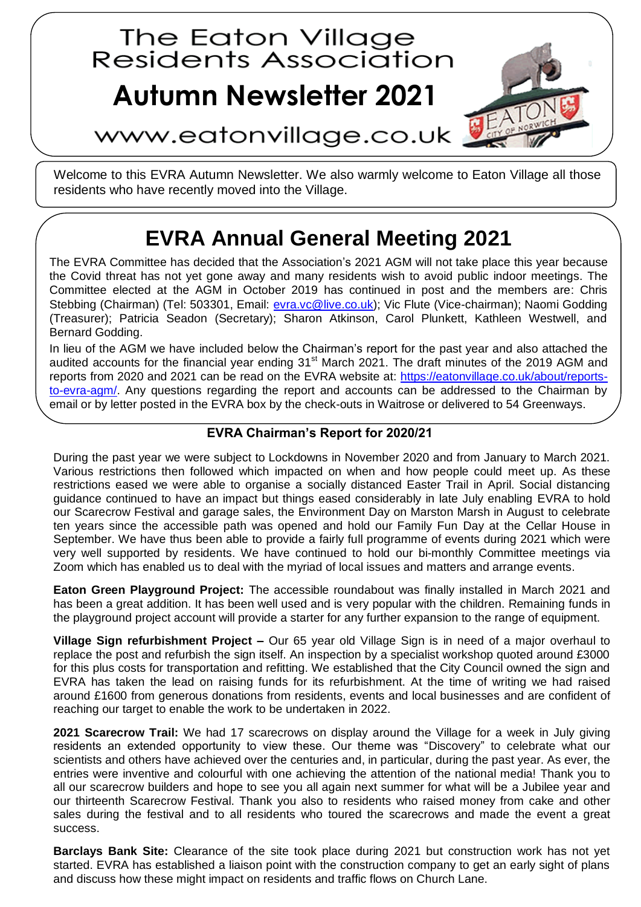# The Eaton Village<br>Residents Association

## **Autumn Newsletter 2021**



### www.eatonvillage.co.uk

Welcome to this EVRA Autumn Newsletter. We also warmly welcome to Eaton Village all those residents who have recently moved into the Village.

## **EVRA Annual General Meeting 2021**

The EVRA Committee has decided that the Association's 2021 AGM will not take place this year because the Covid threat has not yet gone away and many residents wish to avoid public indoor meetings. The Committee elected at the AGM in October 2019 has continued in post and the members are: Chris Stebbing (Chairman) (Tel: 503301, Email: [evra.vc@live.co.uk\)](evra.vc@live.co.uk); Vic Flute (Vice-chairman); Naomi Godding (Treasurer); Patricia Seadon (Secretary); Sharon Atkinson, Carol Plunkett, Kathleen Westwell, and Bernard Godding.

In lieu of the AGM we have included below the Chairman's report for the past year and also attached the audited accounts for the financial year ending 31<sup>st</sup> March 2021. The draft minutes of the 2019 AGM and reports from 2020 and 2021 can be read on the EVRA website at: [https://eatonvillage.co.uk/about/reports](https://eatonvillage.co.uk/about/reports-to-evra-agm/)[to-evra-agm/.](https://eatonvillage.co.uk/about/reports-to-evra-agm/) Any questions regarding the report and accounts can be addressed to the Chairman by email or by letter posted in the EVRA box by the check-outs in Waitrose or delivered to 54 Greenways.

#### **EVRA Chairman's Report for 2020/21**

During the past year we were subject to Lockdowns in November 2020 and from January to March 2021. Various restrictions then followed which impacted on when and how people could meet up. As these restrictions eased we were able to organise a socially distanced Easter Trail in April. Social distancing guidance continued to have an impact but things eased considerably in late July enabling EVRA to hold our Scarecrow Festival and garage sales, the Environment Day on Marston Marsh in August to celebrate ten years since the accessible path was opened and hold our Family Fun Day at the Cellar House in September. We have thus been able to provide a fairly full programme of events during 2021 which were very well supported by residents. We have continued to hold our bi-monthly Committee meetings via Zoom which has enabled us to deal with the myriad of local issues and matters and arrange events.

**Eaton Green Playground Project:** The accessible roundabout was finally installed in March 2021 and has been a great addition. It has been well used and is very popular with the children. Remaining funds in the playground project account will provide a starter for any further expansion to the range of equipment.

**Village Sign refurbishment Project –** Our 65 year old Village Sign is in need of a major overhaul to replace the post and refurbish the sign itself. An inspection by a specialist workshop quoted around £3000 for this plus costs for transportation and refitting. We established that the City Council owned the sign and EVRA has taken the lead on raising funds for its refurbishment. At the time of writing we had raised around £1600 from generous donations from residents, events and local businesses and are confident of reaching our target to enable the work to be undertaken in 2022.

**2021 Scarecrow Trail:** We had 17 scarecrows on display around the Village for a week in July giving residents an extended opportunity to view these. Our theme was "Discovery" to celebrate what our scientists and others have achieved over the centuries and, in particular, during the past year. As ever, the entries were inventive and colourful with one achieving the attention of the national media! Thank you to all our scarecrow builders and hope to see you all again next summer for what will be a Jubilee year and our thirteenth Scarecrow Festival. Thank you also to residents who raised money from cake and other sales during the festival and to all residents who toured the scarecrows and made the event a great success.

**Barclays Bank Site:** Clearance of the site took place during 2021 but construction work has not yet started. EVRA has established a liaison point with the construction company to get an early sight of plans and discuss how these might impact on residents and traffic flows on Church Lane.